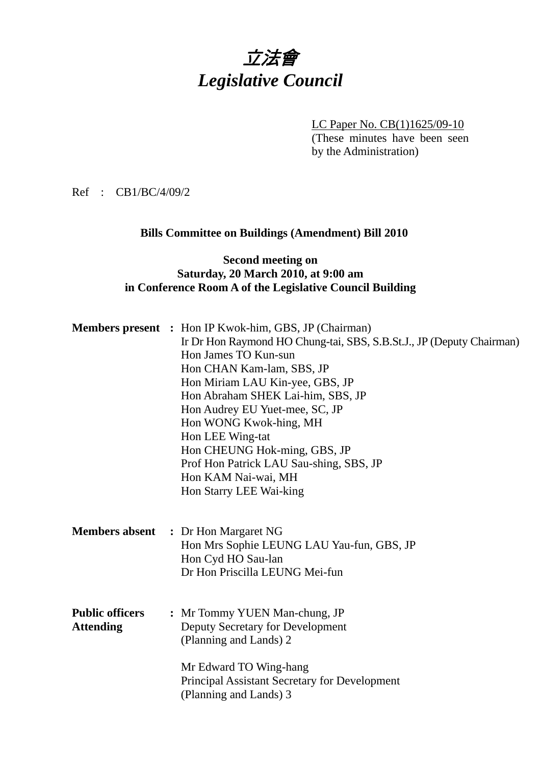# 立法會 *Legislative Council*

LC Paper No. CB(1)1625/09-10

(These minutes have been seen by the Administration)

Ref : CB1/BC/4/09/2

### **Bills Committee on Buildings (Amendment) Bill 2010**

### **Second meeting on Saturday, 20 March 2010, at 9:00 am in Conference Room A of the Legislative Council Building**

|                        | <b>Members present</b> : Hon IP Kwok-him, GBS, JP (Chairman)         |
|------------------------|----------------------------------------------------------------------|
|                        | Ir Dr Hon Raymond HO Chung-tai, SBS, S.B.St.J., JP (Deputy Chairman) |
|                        | Hon James TO Kun-sun                                                 |
|                        | Hon CHAN Kam-lam, SBS, JP                                            |
|                        | Hon Miriam LAU Kin-yee, GBS, JP                                      |
|                        | Hon Abraham SHEK Lai-him, SBS, JP                                    |
|                        | Hon Audrey EU Yuet-mee, SC, JP                                       |
|                        | Hon WONG Kwok-hing, MH                                               |
|                        | Hon LEE Wing-tat                                                     |
|                        | Hon CHEUNG Hok-ming, GBS, JP                                         |
|                        | Prof Hon Patrick LAU Sau-shing, SBS, JP                              |
|                        | Hon KAM Nai-wai, MH                                                  |
|                        | Hon Starry LEE Wai-king                                              |
|                        |                                                                      |
|                        |                                                                      |
| <b>Members absent</b>  | : Dr Hon Margaret NG                                                 |
|                        | Hon Mrs Sophie LEUNG LAU Yau-fun, GBS, JP                            |
|                        | Hon Cyd HO Sau-lan                                                   |
|                        | Dr Hon Priscilla LEUNG Mei-fun                                       |
|                        |                                                                      |
| <b>Public officers</b> |                                                                      |
| <b>Attending</b>       | : Mr Tommy YUEN Man-chung, JP<br>Deputy Secretary for Development    |
|                        | (Planning and Lands) 2                                               |
|                        |                                                                      |
|                        | Mr Edward TO Wing-hang                                               |
|                        | Principal Assistant Secretary for Development                        |
|                        | (Planning and Lands) 3                                               |
|                        |                                                                      |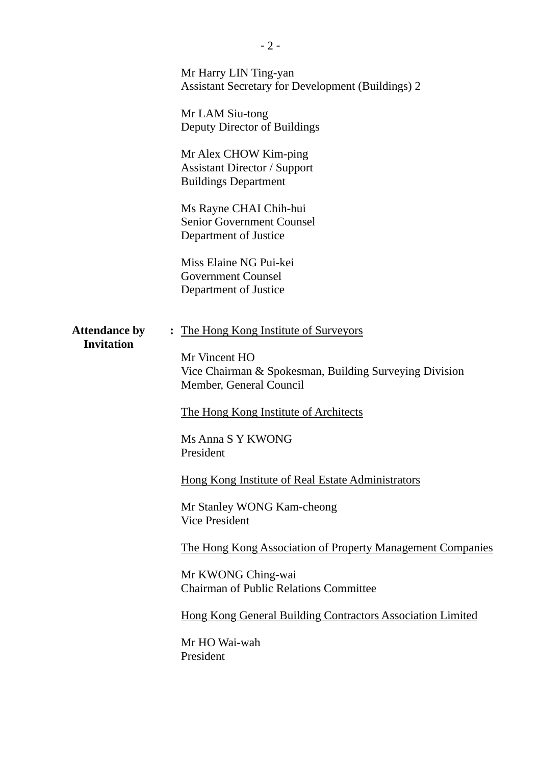|                                           | Mr Harry LIN Ting-yan<br><b>Assistant Secretary for Development (Buildings) 2</b>                                                                                                                                                                                                            |
|-------------------------------------------|----------------------------------------------------------------------------------------------------------------------------------------------------------------------------------------------------------------------------------------------------------------------------------------------|
|                                           | Mr LAM Siu-tong<br>Deputy Director of Buildings                                                                                                                                                                                                                                              |
|                                           | Mr Alex CHOW Kim-ping<br><b>Assistant Director / Support</b><br><b>Buildings Department</b>                                                                                                                                                                                                  |
|                                           | Ms Rayne CHAI Chih-hui<br><b>Senior Government Counsel</b><br>Department of Justice                                                                                                                                                                                                          |
|                                           | Miss Elaine NG Pui-kei<br><b>Government Counsel</b><br>Department of Justice                                                                                                                                                                                                                 |
| <b>Attendance by</b><br><b>Invitation</b> | The Hong Kong Institute of Surveyors<br>$\ddot{\cdot}$<br>Mr Vincent HO<br>Vice Chairman & Spokesman, Building Surveying Division<br>Member, General Council<br>The Hong Kong Institute of Architects<br>Ms Anna S Y KWONG<br>President<br>Hong Kong Institute of Real Estate Administrators |
|                                           | Mr Stanley WONG Kam-cheong<br><b>Vice President</b><br>The Hong Kong Association of Property Management Companies<br>Mr KWONG Ching-wai<br><b>Chairman of Public Relations Committee</b><br><b>Hong Kong General Building Contractors Association Limited</b><br>Mr HO Wai-wah<br>President  |
|                                           |                                                                                                                                                                                                                                                                                              |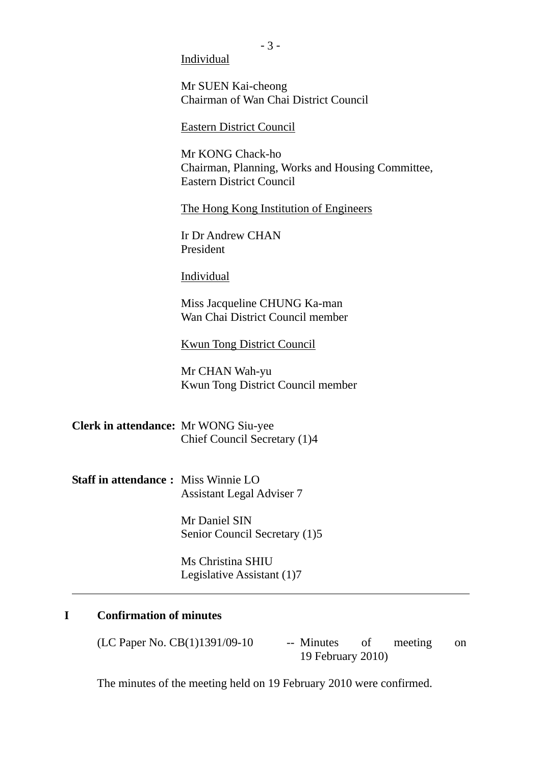Individual

Mr SUEN Kai-cheong Chairman of Wan Chai District Council

Eastern District Council

Mr KONG Chack-ho Chairman, Planning, Works and Housing Committee, Eastern District Council

The Hong Kong Institution of Engineers

Ir Dr Andrew CHAN President

Individual

Miss Jacqueline CHUNG Ka-man Wan Chai District Council member

Kwun Tong District Council

Mr CHAN Wah-yu Kwun Tong District Council member

**Clerk in attendance:** Mr WONG Siu-yee Chief Council Secretary (1)4

**Staff in attendance :** Miss Winnie LO Assistant Legal Adviser 7

> Mr Daniel SIN Senior Council Secretary (1)5

Ms Christina SHIU Legislative Assistant (1)7

### **I Confirmation of minutes**

l,

 $(LC$  Paper No.  $CB(1)1391/09-10$  -- Minutes of meeting on 19 February 2010)

The minutes of the meeting held on 19 February 2010 were confirmed.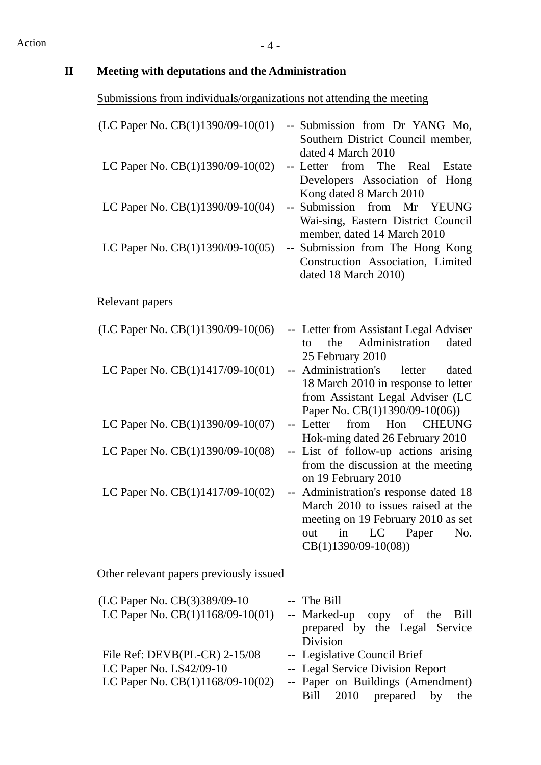# **II Meeting with deputations and the Administration**

# Submissions from individuals/organizations not attending the meeting

| (LC Paper No. CB(1)1390/09-10(01)                                                                | -- Submission from Dr YANG Mo,<br>Southern District Council member,<br>dated 4 March 2010                                                                                      |
|--------------------------------------------------------------------------------------------------|--------------------------------------------------------------------------------------------------------------------------------------------------------------------------------|
| LC Paper No. CB(1)1390/09-10(02)                                                                 | -- Letter from The Real Estate<br>Developers Association of Hong                                                                                                               |
| LC Paper No. CB(1)1390/09-10(04)                                                                 | Kong dated 8 March 2010<br>-- Submission from Mr<br><b>YEUNG</b><br>Wai-sing, Eastern District Council                                                                         |
| LC Paper No. CB(1)1390/09-10(05)                                                                 | member, dated 14 March 2010<br>-- Submission from The Hong Kong<br>Construction Association, Limited<br>dated 18 March 2010)                                                   |
| Relevant papers                                                                                  |                                                                                                                                                                                |
| (LC Paper No. CB(1)1390/09-10(06)                                                                | -- Letter from Assistant Legal Adviser<br>Administration<br>the<br>dated<br>tο<br>25 February 2010                                                                             |
| LC Paper No. $CB(1)1417/09-10(01)$                                                               | Administration's<br>letter<br>dated<br>$-$<br>18 March 2010 in response to letter<br>from Assistant Legal Adviser (LC<br>Paper No. CB(1)1390/09-10(06))                        |
| LC Paper No. $CB(1)1390/09-10(07)$                                                               | from<br><b>CHEUNG</b><br>Hon<br>-- Letter<br>Hok-ming dated 26 February 2010                                                                                                   |
| LC Paper No. CB(1)1390/09-10(08)                                                                 | -- List of follow-up actions arising<br>from the discussion at the meeting<br>on 19 February 2010                                                                              |
| LC Paper No. $CB(1)1417/09-10(02)$                                                               | -- Administration's response dated 18<br>March 2010 to issues raised at the<br>meeting on 19 February 2010 as set<br>LC<br>Paper<br>No.<br>in<br>out<br>$CB(1)1390/09-10(08))$ |
| Other relevant papers previously issued                                                          |                                                                                                                                                                                |
| (LC Paper No. CB(3)389/09-10<br>LC Paper No. CB(1)1168/09-10(01)                                 | -- The Bill<br>-- Marked-up copy of the<br>Bill<br>prepared by the Legal Service                                                                                               |
| File Ref: $DEVB(PL-CR)$ 2-15/08<br>LC Paper No. LS42/09-10<br>LC Paper No. $CB(1)1168/09-10(02)$ | Division<br>-- Legislative Council Brief<br>-- Legal Service Division Report<br>-- Paper on Buildings (Amendment)                                                              |
|                                                                                                  | Bill<br>2010<br>prepared<br>by<br>the                                                                                                                                          |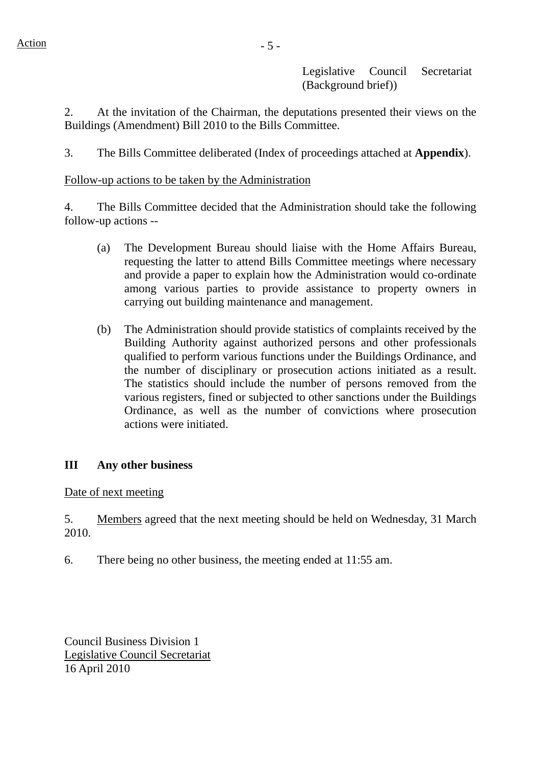Legislative Council Secretariat (Background brief))

2. At the invitation of the Chairman, the deputations presented their views on the Buildings (Amendment) Bill 2010 to the Bills Committee.

3. The Bills Committee deliberated (Index of proceedings attached at **Appendix**).

### Follow-up actions to be taken by the Administration

4. The Bills Committee decided that the Administration should take the following follow-up actions --

- (a) The Development Bureau should liaise with the Home Affairs Bureau, requesting the latter to attend Bills Committee meetings where necessary and provide a paper to explain how the Administration would co-ordinate among various parties to provide assistance to property owners in carrying out building maintenance and management.
- (b) The Administration should provide statistics of complaints received by the Building Authority against authorized persons and other professionals qualified to perform various functions under the Buildings Ordinance, and the number of disciplinary or prosecution actions initiated as a result. The statistics should include the number of persons removed from the various registers, fined or subjected to other sanctions under the Buildings Ordinance, as well as the number of convictions where prosecution actions were initiated.

#### **III Any other business**

Date of next meeting

5. Members agreed that the next meeting should be held on Wednesday, 31 March 2010.

6. There being no other business, the meeting ended at 11:55 am.

Council Business Division 1 Legislative Council Secretariat 16 April 2010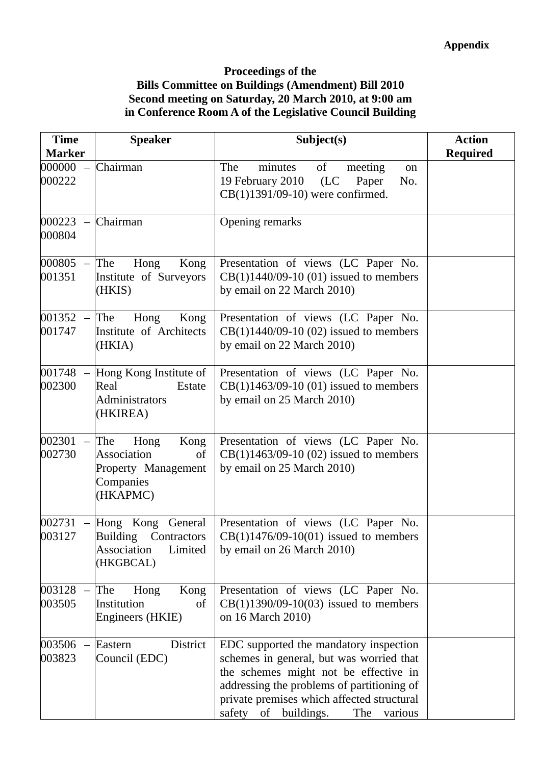### **Proceedings of the Bills Committee on Buildings (Amendment) Bill 2010 Second meeting on Saturday, 20 March 2010, at 9:00 am in Conference Room A of the Legislative Council Building**

| <b>Time</b><br><b>Marker</b> | <b>Speaker</b>                                                                           | Subject(s)                                                                                                                                                                                                                                                        | <b>Action</b><br><b>Required</b> |
|------------------------------|------------------------------------------------------------------------------------------|-------------------------------------------------------------------------------------------------------------------------------------------------------------------------------------------------------------------------------------------------------------------|----------------------------------|
| 000000<br>000222             | Chairman                                                                                 | The<br>minutes<br>of<br>meeting<br>on<br>19 February 2010<br>(LC<br>Paper<br>No.<br>CB(1)1391/09-10) were confirmed.                                                                                                                                              |                                  |
| $000223 -$<br>000804         | Chairman                                                                                 | Opening remarks                                                                                                                                                                                                                                                   |                                  |
| 000805<br>001351             | The<br>Hong<br>Kong<br>Institute of Surveyors<br>(HKIS)                                  | Presentation of views (LC Paper No.<br>$CB(1)1440/09-10(01)$ issued to members<br>by email on 22 March 2010)                                                                                                                                                      |                                  |
| $001352 -$<br>001747         | The<br>Hong<br>Kong<br>Institute of Architects<br>(HKIA)                                 | Presentation of views (LC Paper No.<br>$CB(1)1440/09-10(02)$ issued to members<br>by email on 22 March 2010)                                                                                                                                                      |                                  |
| 001748<br>002300             | Hong Kong Institute of<br>Estate<br>Real<br>Administrators<br>(HKIREA)                   | Presentation of views (LC Paper No.<br>$CB(1)1463/09-10(01)$ issued to members<br>by email on 25 March 2010)                                                                                                                                                      |                                  |
| 002301<br>002730             | The<br>Kong<br>Hong<br>Association<br>of<br>Property Management<br>Companies<br>(HKAPMC) | Presentation of views (LC Paper No.<br>$CB(1)1463/09-10(02)$ issued to members<br>by email on 25 March 2010)                                                                                                                                                      |                                  |
| 002731<br>003127             | Hong Kong General<br>Building Contractors<br>Limited<br>Association<br>(HKGBCAL)         | Presentation of views (LC Paper No.<br>$CB(1)1476/09-10(01)$ issued to members<br>by email on 26 March 2010)                                                                                                                                                      |                                  |
| 003128<br>003505             | The<br>Hong<br>Kong<br>Institution<br>of<br>Engineers (HKIE)                             | Presentation of views (LC Paper No.<br>$CB(1)1390/09-10(03)$ issued to members<br>on 16 March 2010)                                                                                                                                                               |                                  |
| 003506<br>003823             | District<br>Eastern<br>Council (EDC)                                                     | EDC supported the mandatory inspection<br>schemes in general, but was worried that<br>the schemes might not be effective in<br>addressing the problems of partitioning of<br>private premises which affected structural<br>safety of buildings.<br>The<br>various |                                  |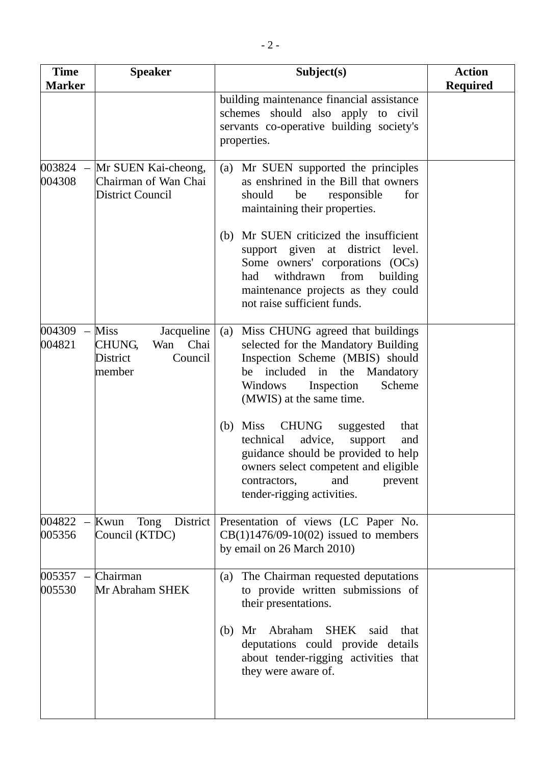| <b>Time</b><br><b>Marker</b> | <b>Speaker</b>                                                                          | Subject(s)                                                                                                                                                                                                                                       | <b>Action</b><br><b>Required</b> |
|------------------------------|-----------------------------------------------------------------------------------------|--------------------------------------------------------------------------------------------------------------------------------------------------------------------------------------------------------------------------------------------------|----------------------------------|
|                              |                                                                                         | building maintenance financial assistance<br>schemes should also apply to civil<br>servants co-operative building society's<br>properties.                                                                                                       |                                  |
| $003824 -$<br>004308         | Mr SUEN Kai-cheong,<br>Chairman of Wan Chai<br><b>District Council</b>                  | Mr SUEN supported the principles<br>(a)<br>as enshrined in the Bill that owners<br>should<br>for<br>be<br>responsible<br>maintaining their properties.                                                                                           |                                  |
|                              |                                                                                         | Mr SUEN criticized the insufficient<br>(b)<br>support given at district level.<br>Some owners' corporations (OCs)<br>withdrawn<br>from<br>building<br>had<br>maintenance projects as they could<br>not raise sufficient funds.                   |                                  |
| 004309<br>004821             | <b>Miss</b><br>Jacqueline<br><b>CHUNG,</b><br>Wan Chai<br>District<br>Council<br>member | Miss CHUNG agreed that buildings<br>(a)<br>selected for the Mandatory Building<br>Inspection Scheme (MBIS) should<br>be included in the<br>Mandatory<br>Scheme<br>Windows<br>Inspection<br>(MWIS) at the same time.                              |                                  |
|                              |                                                                                         | <b>Miss</b><br><b>CHUNG</b><br>(b)<br>suggested<br>that<br>advice,<br>technical<br>support<br>and<br>guidance should be provided to help<br>owners select competent and eligible<br>contractors,<br>and<br>prevent<br>tender-rigging activities. |                                  |
| 004822<br>005356             | District<br>Kwun<br>Tong<br>Council (KTDC)                                              | Presentation of views (LC Paper No.<br>$CB(1)1476/09-10(02)$ issued to members<br>by email on 26 March 2010)                                                                                                                                     |                                  |
| 005357<br>005530             | Chairman<br>Mr Abraham SHEK                                                             | The Chairman requested deputations<br>(a)<br>to provide written submissions of<br>their presentations.                                                                                                                                           |                                  |
|                              |                                                                                         | Abraham SHEK said<br>Mr<br>that<br>(b)<br>deputations could provide details<br>about tender-rigging activities that<br>they were aware of.                                                                                                       |                                  |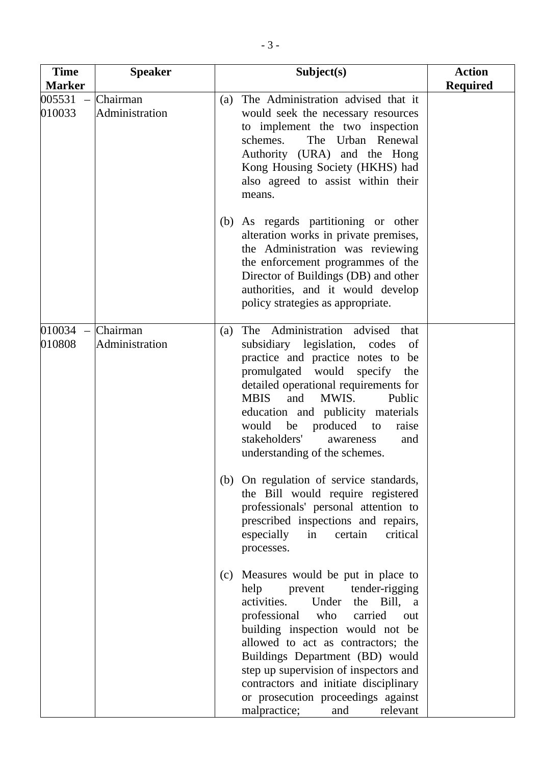| <b>Time</b><br><b>Marker</b>                 | <b>Speaker</b>             | Subject(s)                                                                                                                                                                                                                                                                                                                                                                                                                | <b>Action</b><br><b>Required</b> |
|----------------------------------------------|----------------------------|---------------------------------------------------------------------------------------------------------------------------------------------------------------------------------------------------------------------------------------------------------------------------------------------------------------------------------------------------------------------------------------------------------------------------|----------------------------------|
| 005531<br>$\equiv$<br>010033                 | Chairman<br>Administration | The Administration advised that it<br>(a)<br>would seek the necessary resources<br>to implement the two inspection<br>schemes.<br>The Urban Renewal<br>Authority (URA) and the Hong<br>Kong Housing Society (HKHS) had<br>also agreed to assist within their<br>means.                                                                                                                                                    |                                  |
|                                              |                            | As regards partitioning or other<br>(b)<br>alteration works in private premises,<br>the Administration was reviewing<br>the enforcement programmes of the<br>Director of Buildings (DB) and other<br>authorities, and it would develop<br>policy strategies as appropriate.                                                                                                                                               |                                  |
| 010034<br>$\overline{\phantom{a}}$<br>010808 | Chairman<br>Administration | The Administration advised<br>that<br>(a)<br>subsidiary legislation, codes<br>of<br>practice and practice notes to<br>be<br>promulgated would specify<br>the<br>detailed operational requirements for<br><b>MBIS</b><br>and<br>MWIS.<br>Public<br>education and publicity materials<br>produced<br>would<br>be<br>raise<br>to<br>stakeholders'<br>and<br>awareness<br>understanding of the schemes.                       |                                  |
|                                              |                            | (b) On regulation of service standards,<br>the Bill would require registered<br>professionals' personal attention to<br>prescribed inspections and repairs,<br>especially<br>certain<br>in<br>critical<br>processes.                                                                                                                                                                                                      |                                  |
|                                              |                            | (c) Measures would be put in place to<br>help prevent<br>tender-rigging<br>activities.<br>Under<br>the Bill, a<br>professional who carried<br>out<br>building inspection would not be<br>allowed to act as contractors; the<br>Buildings Department (BD) would<br>step up supervision of inspectors and<br>contractors and initiate disciplinary<br>or prosecution proceedings against<br>malpractice;<br>relevant<br>and |                                  |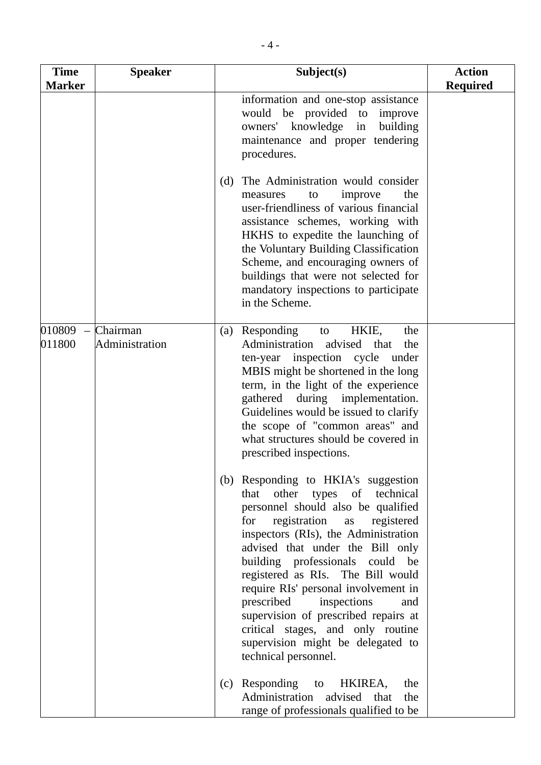| <b>Time</b><br><b>Marker</b> | <b>Speaker</b>             | Subject(s)                                                                                                                                                                                                                                                                                                                                                                                                                                                                                                                         | <b>Action</b>   |
|------------------------------|----------------------------|------------------------------------------------------------------------------------------------------------------------------------------------------------------------------------------------------------------------------------------------------------------------------------------------------------------------------------------------------------------------------------------------------------------------------------------------------------------------------------------------------------------------------------|-----------------|
|                              |                            | information and one-stop assistance<br>would be provided to improve<br>owners' knowledge in<br>building<br>maintenance and proper tendering<br>procedures.                                                                                                                                                                                                                                                                                                                                                                         | <b>Required</b> |
|                              |                            | (d) The Administration would consider<br>improve<br>the<br>measures<br>to<br>user-friendliness of various financial<br>assistance schemes, working with<br>HKHS to expedite the launching of<br>the Voluntary Building Classification<br>Scheme, and encouraging owners of<br>buildings that were not selected for<br>mandatory inspections to participate<br>in the Scheme.                                                                                                                                                       |                 |
| 010809<br>011800             | Chairman<br>Administration | Responding<br>HKIE,<br>the<br>(a)<br>to<br>Administration advised that<br>the<br>ten-year inspection cycle under<br>MBIS might be shortened in the long<br>term, in the light of the experience<br>during implementation.<br>gathered<br>Guidelines would be issued to clarify<br>the scope of "common areas" and<br>what structures should be covered in<br>prescribed inspections.                                                                                                                                               |                 |
|                              |                            | (b) Responding to HKIA's suggestion<br>other types of technical<br>that<br>personnel should also be qualified<br>registration<br>registered<br>for<br>as<br>inspectors (RIs), the Administration<br>advised that under the Bill only<br>building professionals could be<br>registered as RIs. The Bill would<br>require RIs' personal involvement in<br>prescribed<br>inspections<br>and<br>supervision of prescribed repairs at<br>critical stages, and only routine<br>supervision might be delegated to<br>technical personnel. |                 |
|                              |                            | Responding to<br>HKIREA,<br>the<br>(c)<br>Administration advised that<br>the<br>range of professionals qualified to be                                                                                                                                                                                                                                                                                                                                                                                                             |                 |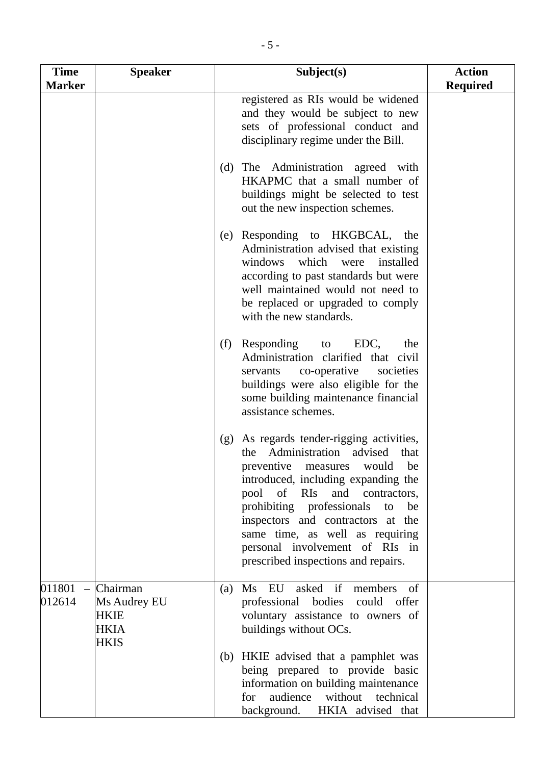| <b>Time</b>      | <b>Speaker</b>                                                        | Subject(s)                                                                                                                                                                                                                                                                                                                                                                                | <b>Action</b>   |
|------------------|-----------------------------------------------------------------------|-------------------------------------------------------------------------------------------------------------------------------------------------------------------------------------------------------------------------------------------------------------------------------------------------------------------------------------------------------------------------------------------|-----------------|
| <b>Marker</b>    |                                                                       |                                                                                                                                                                                                                                                                                                                                                                                           | <b>Required</b> |
|                  |                                                                       | registered as RIs would be widened<br>and they would be subject to new<br>sets of professional conduct and<br>disciplinary regime under the Bill.                                                                                                                                                                                                                                         |                 |
|                  |                                                                       | (d) The Administration agreed with<br>HKAPMC that a small number of<br>buildings might be selected to test<br>out the new inspection schemes.                                                                                                                                                                                                                                             |                 |
|                  |                                                                       | (e) Responding to HKGBCAL, the<br>Administration advised that existing<br>windows which were<br>installed<br>according to past standards but were<br>well maintained would not need to<br>be replaced or upgraded to comply<br>with the new standards.                                                                                                                                    |                 |
|                  |                                                                       | (f) Responding to EDC,<br>the<br>Administration clarified that civil<br>co-operative<br>societies<br>servants<br>buildings were also eligible for the<br>some building maintenance financial<br>assistance schemes.                                                                                                                                                                       |                 |
|                  |                                                                       | As regards tender-rigging activities,<br>(g)<br>the Administration<br>advised<br>that<br>preventive measures would be<br>introduced, including expanding the<br>pool of RIs<br>and contractors,<br>prohibiting professionals<br>be<br>to<br>inspectors and contractors at the<br>same time, as well as requiring<br>personal involvement of RIs in<br>prescribed inspections and repairs. |                 |
| 011801<br>012614 | Chairman<br>Ms Audrey EU<br><b>HKIE</b><br><b>HKIA</b><br><b>HKIS</b> | asked if<br>Ms EU<br>members<br>of<br>(a)<br>professional bodies could offer<br>voluntary assistance to owners of<br>buildings without OCs.                                                                                                                                                                                                                                               |                 |
|                  |                                                                       | (b) HKIE advised that a pamphlet was<br>being prepared to provide basic<br>information on building maintenance<br>audience<br>without technical<br>for<br>background. HKIA advised that                                                                                                                                                                                                   |                 |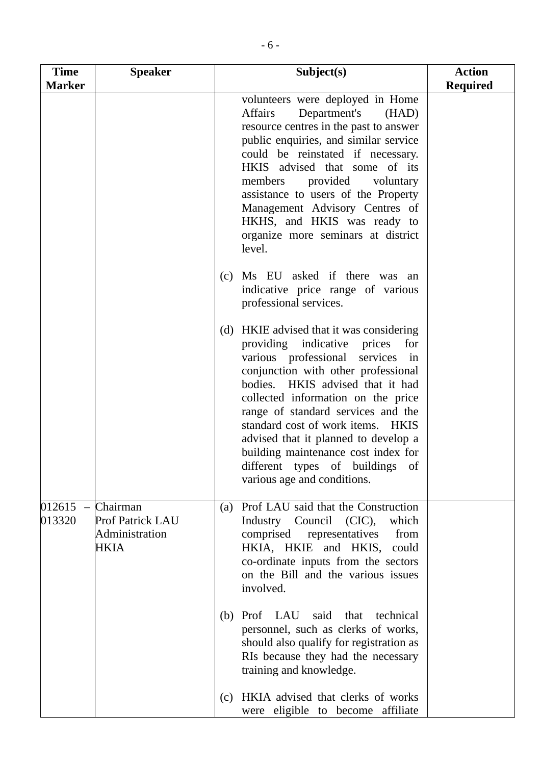| <b>Time</b><br><b>Marker</b> | <b>Speaker</b>                                                | Subject(s)                                                                                                                                                                                                                                                                                                                                                                                                                                                                       | <b>Action</b><br><b>Required</b> |
|------------------------------|---------------------------------------------------------------|----------------------------------------------------------------------------------------------------------------------------------------------------------------------------------------------------------------------------------------------------------------------------------------------------------------------------------------------------------------------------------------------------------------------------------------------------------------------------------|----------------------------------|
|                              |                                                               | volunteers were deployed in Home<br>Department's<br>Affairs<br>(HAD)<br>resource centres in the past to answer<br>public enquiries, and similar service<br>could be reinstated if necessary.<br>HKIS advised that some of its<br>members provided<br>voluntary<br>assistance to users of the Property<br>Management Advisory Centres of<br>HKHS, and HKIS was ready to<br>organize more seminars at district<br>level.                                                           |                                  |
|                              |                                                               | Ms EU asked if there was an<br>(c)<br>indicative price range of various<br>professional services.                                                                                                                                                                                                                                                                                                                                                                                |                                  |
|                              |                                                               | (d) HKIE advised that it was considering<br>providing indicative prices<br>for<br>various professional<br>services in<br>conjunction with other professional<br>bodies. HKIS advised that it had<br>collected information on the price<br>range of standard services and the<br>standard cost of work items. HKIS<br>advised that it planned to develop a<br>building maintenance cost index for<br>different types of buildings<br><sub>of</sub><br>various age and conditions. |                                  |
| $012615 -$<br>013320         | Chairman<br>Prof Patrick LAU<br>Administration<br><b>HKIA</b> | (a) Prof LAU said that the Construction<br>Industry Council (CIC),<br>which<br>comprised representatives<br>from<br>HKIA, HKIE and HKIS, could<br>co-ordinate inputs from the sectors<br>on the Bill and the various issues<br>involved.                                                                                                                                                                                                                                         |                                  |
|                              |                                                               | (b) Prof LAU said that technical<br>personnel, such as clerks of works,<br>should also qualify for registration as<br>RIs because they had the necessary<br>training and knowledge.                                                                                                                                                                                                                                                                                              |                                  |
|                              |                                                               | (c) HKIA advised that clerks of works<br>were eligible to become affiliate                                                                                                                                                                                                                                                                                                                                                                                                       |                                  |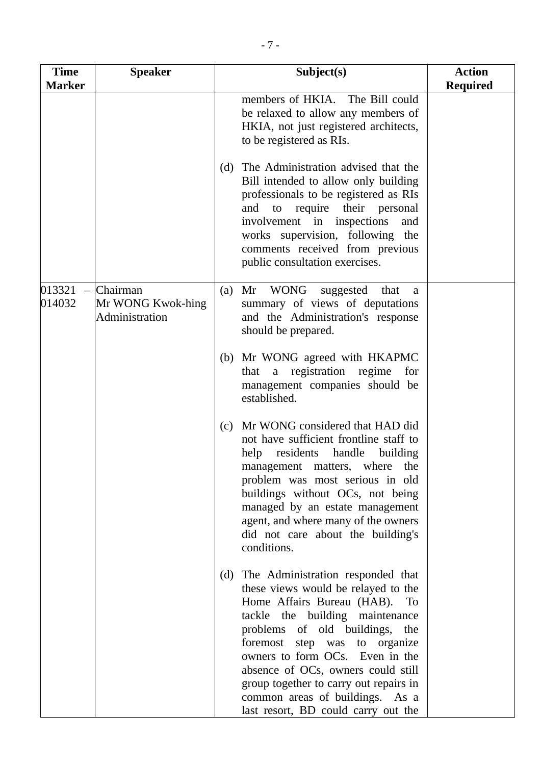| <b>Time</b><br><b>Marker</b> | <b>Speaker</b>                                  | Subject(s)                                                                                                                                                                                                                                                                                                                                                                                                          | <b>Action</b><br><b>Required</b> |
|------------------------------|-------------------------------------------------|---------------------------------------------------------------------------------------------------------------------------------------------------------------------------------------------------------------------------------------------------------------------------------------------------------------------------------------------------------------------------------------------------------------------|----------------------------------|
|                              |                                                 | members of HKIA. The Bill could<br>be relaxed to allow any members of<br>HKIA, not just registered architects,<br>to be registered as RIs.                                                                                                                                                                                                                                                                          |                                  |
|                              |                                                 | (d) The Administration advised that the<br>Bill intended to allow only building<br>professionals to be registered as RIs<br>and to require their personal<br>involvement in inspections<br>and<br>works supervision, following the<br>comments received from previous<br>public consultation exercises.                                                                                                             |                                  |
| 013321<br>014032             | Chairman<br>Mr WONG Kwok-hing<br>Administration | Mr WONG<br>suggested<br>(a)<br>that<br>a<br>summary of views of deputations<br>and the Administration's response<br>should be prepared.                                                                                                                                                                                                                                                                             |                                  |
|                              |                                                 | (b) Mr WONG agreed with HKAPMC<br>that a registration regime for<br>management companies should be<br>established.                                                                                                                                                                                                                                                                                                  |                                  |
|                              |                                                 | Mr WONG considered that HAD did<br>(c)<br>not have sufficient frontline staff to<br>help residents handle<br>building<br>management matters, where the<br>problem was most serious in old<br>buildings without OCs, not being<br>managed by an estate management<br>agent, and where many of the owners<br>did not care about the building's<br>conditions.                                                         |                                  |
|                              |                                                 | (d) The Administration responded that<br>these views would be relayed to the<br>Home Affairs Bureau (HAB).<br>To<br>tackle the building maintenance<br>problems of old buildings, the<br>foremost step was to organize<br>owners to form OCs. Even in the<br>absence of OCs, owners could still<br>group together to carry out repairs in<br>common areas of buildings. As a<br>last resort, BD could carry out the |                                  |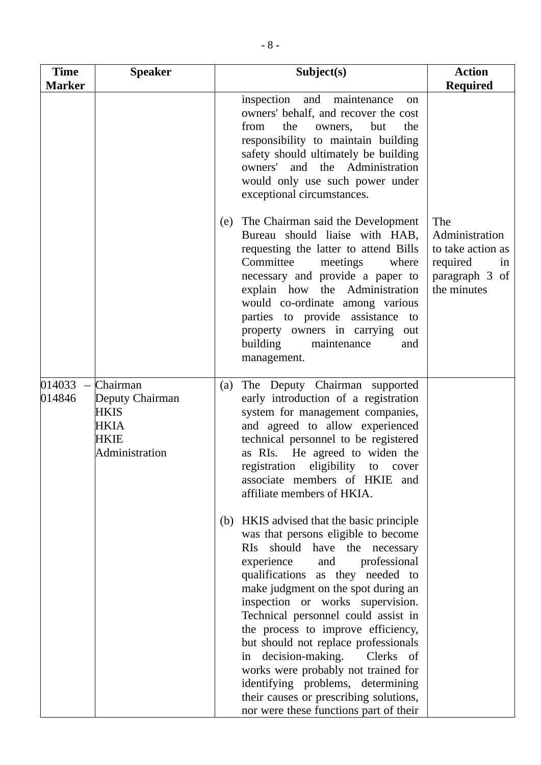| <b>Time</b><br><b>Marker</b>                 | <b>Speaker</b>                                                               | Subject(s)                                                                                                                                                                                                                                                                                                                                                                                                                                                                                                                                                                            | <b>Action</b><br><b>Required</b>                                                              |
|----------------------------------------------|------------------------------------------------------------------------------|---------------------------------------------------------------------------------------------------------------------------------------------------------------------------------------------------------------------------------------------------------------------------------------------------------------------------------------------------------------------------------------------------------------------------------------------------------------------------------------------------------------------------------------------------------------------------------------|-----------------------------------------------------------------------------------------------|
|                                              |                                                                              | inspection and maintenance<br><sub>on</sub><br>owners' behalf, and recover the cost<br>from<br>the<br>but<br>the<br>owners,<br>responsibility to maintain building<br>safety should ultimately be building<br>owners' and the Administration<br>would only use such power under<br>exceptional circumstances.                                                                                                                                                                                                                                                                         |                                                                                               |
|                                              |                                                                              | The Chairman said the Development<br>(e)<br>Bureau should liaise with HAB,<br>requesting the latter to attend Bills<br>Committee<br>meetings<br>where<br>necessary and provide a paper to<br>explain how the Administration<br>would co-ordinate among various<br>parties to provide assistance to<br>property owners in carrying out<br>building<br>maintenance<br>and<br>management.                                                                                                                                                                                                | The<br>Administration<br>to take action as<br>required<br>in<br>paragraph 3 of<br>the minutes |
| 014033<br>$\overline{\phantom{m}}$<br>014846 | Chairman<br>Deputy Chairman<br><b>HKIS</b><br>HKIA<br>HKIE<br>Administration | The Deputy Chairman supported<br>(a)<br>early introduction of a registration<br>system for management companies,<br>and agreed to allow experienced<br>technical personnel to be registered<br>as RIs. He agreed to widen the<br>registration<br>eligibility to cover<br>associate members of HKIE and<br>affiliate members of HKIA.                                                                                                                                                                                                                                                  |                                                                                               |
|                                              |                                                                              | (b) HKIS advised that the basic principle<br>was that persons eligible to become<br>RIs should have the necessary<br>experience and professional<br>qualifications as they needed to<br>make judgment on the spot during an<br>inspection or works supervision.<br>Technical personnel could assist in<br>the process to improve efficiency,<br>but should not replace professionals<br>in decision-making. Clerks of<br>works were probably not trained for<br>identifying problems, determining<br>their causes or prescribing solutions,<br>nor were these functions part of their |                                                                                               |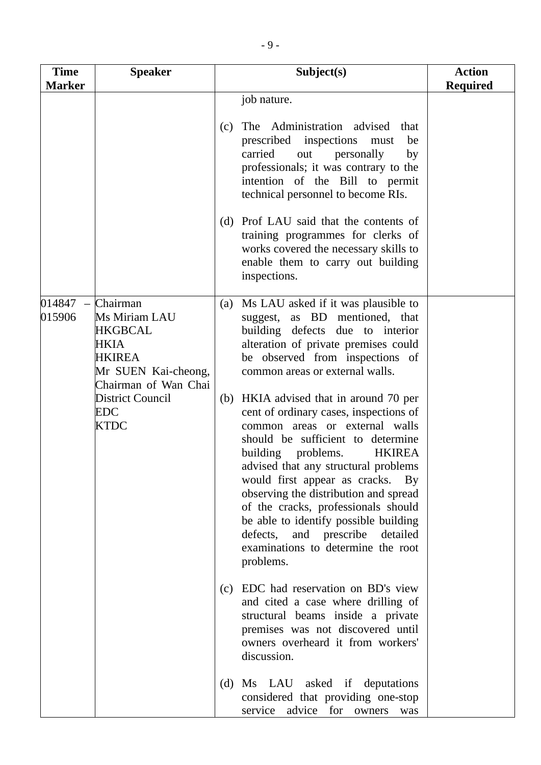| <b>Time</b><br><b>Marker</b> | <b>Speaker</b>                                                                                                                                                | Subject(s)                                                                                                                                                                                                                                                                                                                                                                                                                                                                                                                                                                                                                                                                                                                     | <b>Action</b><br><b>Required</b> |
|------------------------------|---------------------------------------------------------------------------------------------------------------------------------------------------------------|--------------------------------------------------------------------------------------------------------------------------------------------------------------------------------------------------------------------------------------------------------------------------------------------------------------------------------------------------------------------------------------------------------------------------------------------------------------------------------------------------------------------------------------------------------------------------------------------------------------------------------------------------------------------------------------------------------------------------------|----------------------------------|
|                              |                                                                                                                                                               | job nature.<br>The Administration advised<br>that<br>(c)<br>prescribed inspections<br>must<br>be<br>carried<br>out personally<br>by<br>professionals; it was contrary to the<br>intention of the Bill to permit<br>technical personnel to become RIs.<br>(d) Prof LAU said that the contents of<br>training programmes for clerks of<br>works covered the necessary skills to<br>enable them to carry out building<br>inspections.                                                                                                                                                                                                                                                                                             |                                  |
| 014847<br>015906             | Chairman<br>Ms Miriam LAU<br><b>HKGBCAL</b><br>HKIA<br>HKIREA<br>Mr SUEN Kai-cheong,<br>Chairman of Wan Chai<br><b>District Council</b><br>EDC<br><b>KTDC</b> | Ms LAU asked if it was plausible to<br>(a)<br>suggest, as BD mentioned, that<br>building defects due to interior<br>alteration of private premises could<br>be observed from inspections of<br>common areas or external walls.<br>(b) HKIA advised that in around 70 per<br>cent of ordinary cases, inspections of<br>common areas or external walls<br>should be sufficient to determine<br>building problems.<br><b>HKIREA</b><br>advised that any structural problems<br>would first appear as cracks. By<br>observing the distribution and spread<br>of the cracks, professionals should<br>be able to identify possible building<br>defects, and prescribe<br>detailed<br>examinations to determine the root<br>problems. |                                  |
|                              |                                                                                                                                                               | EDC had reservation on BD's view<br>(c)<br>and cited a case where drilling of<br>structural beams inside a private<br>premises was not discovered until<br>owners overheard it from workers'<br>discussion.                                                                                                                                                                                                                                                                                                                                                                                                                                                                                                                    |                                  |
|                              |                                                                                                                                                               | Ms LAU asked if deputations<br>(d)<br>considered that providing one-stop<br>advice<br>for<br>service<br>owners<br>was                                                                                                                                                                                                                                                                                                                                                                                                                                                                                                                                                                                                          |                                  |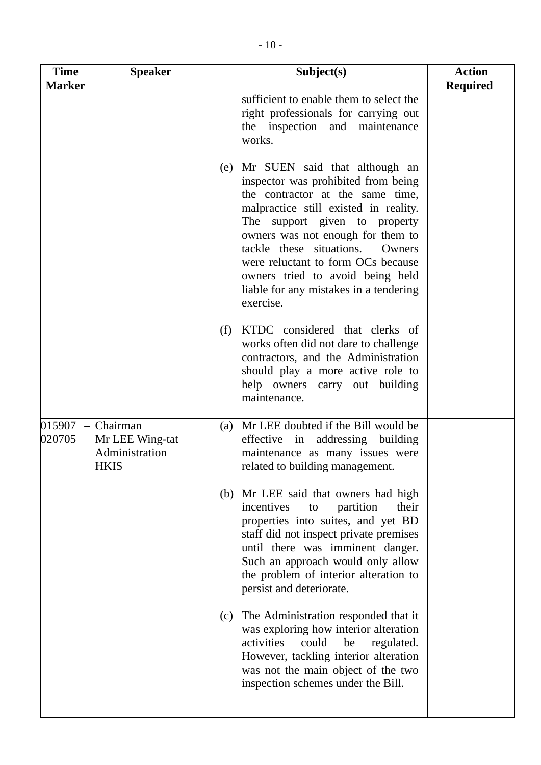| <b>Time</b><br><b>Marker</b> | <b>Speaker</b>                                        | Subject(s)                                                                                                                                                                                                                                                                                                                                                                                         | <b>Action</b><br><b>Required</b> |
|------------------------------|-------------------------------------------------------|----------------------------------------------------------------------------------------------------------------------------------------------------------------------------------------------------------------------------------------------------------------------------------------------------------------------------------------------------------------------------------------------------|----------------------------------|
|                              |                                                       | sufficient to enable them to select the<br>right professionals for carrying out<br>the inspection and maintenance<br>works.                                                                                                                                                                                                                                                                        |                                  |
|                              |                                                       | (e) Mr SUEN said that although an<br>inspector was prohibited from being<br>the contractor at the same time,<br>malpractice still existed in reality.<br>The support given to property<br>owners was not enough for them to<br>tackle these situations.<br>Owners<br>were reluctant to form OCs because<br>owners tried to avoid being held<br>liable for any mistakes in a tendering<br>exercise. |                                  |
|                              |                                                       | KTDC considered that clerks of<br>(f)<br>works often did not dare to challenge<br>contractors, and the Administration<br>should play a more active role to<br>help owners carry out building<br>maintenance.                                                                                                                                                                                       |                                  |
| 015907<br>$\equiv$<br>020705 | Chairman<br>Mr LEE Wing-tat<br>Administration<br>HKIS | Mr LEE doubted if the Bill would be<br>(a)<br>effective in addressing building<br>maintenance as many issues were<br>related to building management.                                                                                                                                                                                                                                               |                                  |
|                              |                                                       | (b) Mr LEE said that owners had high<br>partition<br>incentives<br>their<br>to<br>properties into suites, and yet BD<br>staff did not inspect private premises<br>until there was imminent danger.<br>Such an approach would only allow<br>the problem of interior alteration to<br>persist and deteriorate.                                                                                       |                                  |
|                              |                                                       | The Administration responded that it<br>(c)<br>was exploring how interior alteration<br>activities<br>could<br>be<br>regulated.<br>However, tackling interior alteration<br>was not the main object of the two<br>inspection schemes under the Bill.                                                                                                                                               |                                  |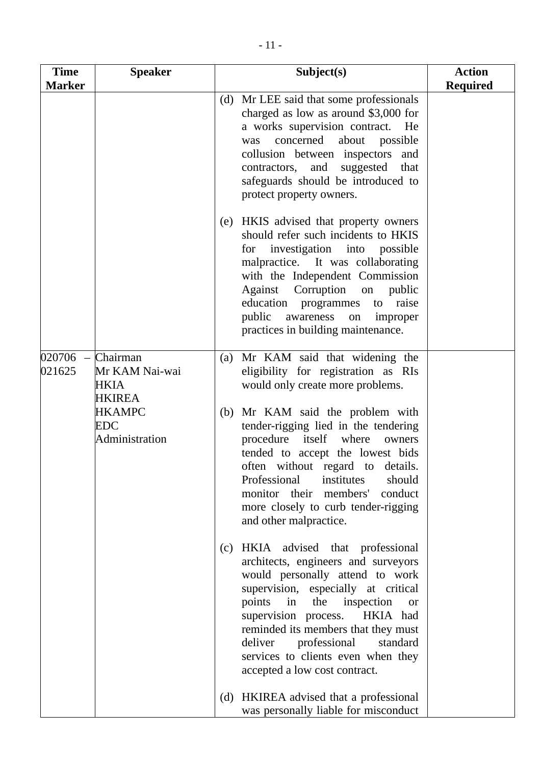| <b>Time</b>                                  | <b>Speaker</b>                                      | Subject(s)                                                                                                                                                                                                                                                                                                                                                                                        | <b>Action</b>   |
|----------------------------------------------|-----------------------------------------------------|---------------------------------------------------------------------------------------------------------------------------------------------------------------------------------------------------------------------------------------------------------------------------------------------------------------------------------------------------------------------------------------------------|-----------------|
| <b>Marker</b>                                |                                                     |                                                                                                                                                                                                                                                                                                                                                                                                   | <b>Required</b> |
|                                              |                                                     | Mr LEE said that some professionals<br>(d)<br>charged as low as around \$3,000 for<br>a works supervision contract.<br>He<br>concerned<br>about<br>possible<br>was<br>collusion between inspectors and<br>and<br>suggested<br>that<br>contractors,<br>safeguards should be introduced to<br>protect property owners.                                                                              |                 |
|                                              |                                                     | HKIS advised that property owners<br>(e)<br>should refer such incidents to HKIS<br>for investigation into possible<br>malpractice. It was collaborating<br>with the Independent Commission<br>Against Corruption on<br>public<br>education programmes to raise<br>public awareness<br>on improper<br>practices in building maintenance.                                                           |                 |
| 020706<br>$\overline{\phantom{0}}$<br>021625 | Chairman<br>Mr KAM Nai-wai<br>HKIA<br><b>HKIREA</b> | Mr KAM said that widening the<br>(a)<br>eligibility for registration as RIs<br>would only create more problems.                                                                                                                                                                                                                                                                                   |                 |
|                                              | <b>HKAMPC</b><br><b>EDC</b><br>Administration       | (b) Mr KAM said the problem with<br>tender-rigging lied in the tendering<br>procedure<br>itself where<br>owners<br>tended to accept the lowest bids<br>often without regard to details.<br>Professional<br>institutes<br>should<br>conduct<br>monitor their<br>members'<br>more closely to curb tender-rigging<br>and other malpractice.                                                          |                 |
|                                              |                                                     | HKIA advised that professional<br>(c)<br>architects, engineers and surveyors<br>would personally attend to work<br>supervision, especially at critical<br>points<br>in<br>the<br>inspection<br><b>or</b><br>supervision process.<br>HKIA had<br>reminded its members that they must<br>deliver<br>professional<br>standard<br>services to clients even when they<br>accepted a low cost contract. |                 |
|                                              |                                                     | HKIREA advised that a professional<br>(d)<br>was personally liable for misconduct                                                                                                                                                                                                                                                                                                                 |                 |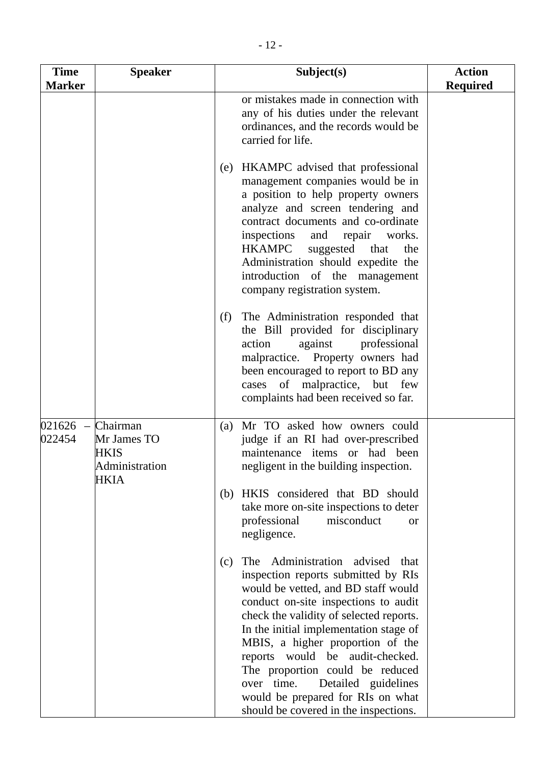| $-12-$                       |                |                                                                                                                                                                                                                                                                         |                           |
|------------------------------|----------------|-------------------------------------------------------------------------------------------------------------------------------------------------------------------------------------------------------------------------------------------------------------------------|---------------------------|
| <b>Time</b><br><b>Tarker</b> | <b>Speaker</b> | Subject(s)                                                                                                                                                                                                                                                              | <b>Action</b><br>Required |
|                              |                | or mistakes made in connection with<br>any of his duties under the relevant<br>ordinances, and the records would be<br>carried for life.                                                                                                                                |                           |
|                              |                | HKAMPC advised that professional<br>(e)<br>management companies would be in<br>a position to help property owners<br>analyze and screen tendering and<br>contract documents and co-ordinate<br>inspections and repair<br>works.<br>$HK\triangle MPC$ suggested that the |                           |

**Required** 

|                                                                                   |     | (e) HKAMPC advised that professional<br>management companies would be in<br>a position to help property owners<br>analyze and screen tendering and<br>contract documents and co-ordinate<br>inspections<br>and<br>works.<br>repair<br>HKAMPC<br>suggested that<br>the<br>Administration should expedite the<br>introduction of the management<br>company registration system.                                                                                                 |  |
|-----------------------------------------------------------------------------------|-----|-------------------------------------------------------------------------------------------------------------------------------------------------------------------------------------------------------------------------------------------------------------------------------------------------------------------------------------------------------------------------------------------------------------------------------------------------------------------------------|--|
|                                                                                   | (f) | The Administration responded that<br>the Bill provided for disciplinary<br>action<br>against<br>professional<br>malpractice. Property owners had<br>been encouraged to report to BD any<br>cases of malpractice, but few<br>complaints had been received so far.                                                                                                                                                                                                              |  |
| Chairman<br>$021626 -$<br>022454<br>Mr James TO<br>HKIS<br>Administration<br>HKIA |     | (a) Mr TO asked how owners could<br>judge if an RI had over-prescribed<br>maintenance items or had been<br>negligent in the building inspection.                                                                                                                                                                                                                                                                                                                              |  |
|                                                                                   |     | (b) HKIS considered that BD should<br>take more on-site inspections to deter<br>professional<br>misconduct<br>0r<br>negligence.                                                                                                                                                                                                                                                                                                                                               |  |
|                                                                                   | (c) | Administration advised<br>The<br>that<br>inspection reports submitted by RIs<br>would be vetted, and BD staff would<br>conduct on-site inspections to audit<br>check the validity of selected reports.<br>In the initial implementation stage of<br>MBIS, a higher proportion of the<br>reports would be audit-checked.<br>The proportion could be reduced<br>over time.<br>Detailed guidelines<br>would be prepared for RIs on what<br>should be covered in the inspections. |  |

**Time Marker**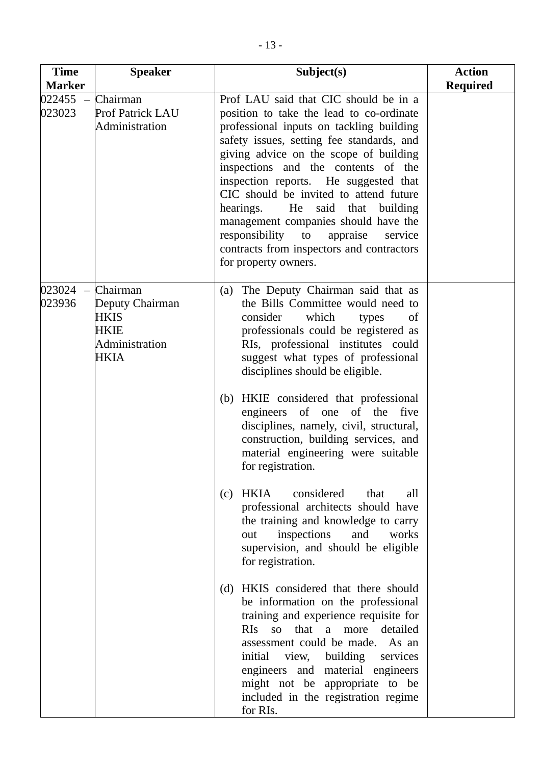| <b>Time</b>                   | <b>Speaker</b>                                                          | Subject(s)                                                                                                                                                                                                                                                                                                                                                                                                                                                                                                                                                                                                                                                                                                                    | <b>Action</b>   |
|-------------------------------|-------------------------------------------------------------------------|-------------------------------------------------------------------------------------------------------------------------------------------------------------------------------------------------------------------------------------------------------------------------------------------------------------------------------------------------------------------------------------------------------------------------------------------------------------------------------------------------------------------------------------------------------------------------------------------------------------------------------------------------------------------------------------------------------------------------------|-----------------|
| <b>Marker</b>                 |                                                                         |                                                                                                                                                                                                                                                                                                                                                                                                                                                                                                                                                                                                                                                                                                                               | <b>Required</b> |
| 022455<br>023023              | Chairman<br><b>Prof Patrick LAU</b><br>Administration                   | Prof LAU said that CIC should be in a<br>position to take the lead to co-ordinate<br>professional inputs on tackling building<br>safety issues, setting fee standards, and<br>giving advice on the scope of building<br>inspections and the contents of the<br>inspection reports. He suggested that<br>CIC should be invited to attend future<br>hearings.<br>He<br>said<br>that<br>building<br>management companies should have the<br>responsibility<br>to<br>appraise<br>service<br>contracts from inspectors and contractors<br>for property owners.                                                                                                                                                                     |                 |
| $023024$ - Chairman<br>023936 | Deputy Chairman<br><b>HKIS</b><br><b>HKIE</b><br>Administration<br>HKIA | The Deputy Chairman said that as<br>(a)<br>the Bills Committee would need to<br>consider<br>which<br>types<br>of<br>professionals could be registered as<br>RIs, professional institutes could<br>suggest what types of professional<br>disciplines should be eligible.<br>HKIE considered that professional<br>(b)<br>engineers of one of the five<br>disciplines, namely, civil, structural,<br>construction, building services, and<br>material engineering were suitable<br>for registration.<br>HKIA<br>considered<br>that<br>all<br>(c)<br>professional architects should have<br>the training and knowledge to carry<br>inspections<br>and<br>works<br>out<br>supervision, and should be eligible<br>for registration. |                 |
|                               |                                                                         | HKIS considered that there should<br>(d)<br>be information on the professional<br>training and experience requisite for<br>so that a more detailed<br>RIs<br>assessment could be made. As an<br>view, building<br>initial<br>services<br>engineers and material engineers<br>might not be appropriate to be<br>included in the registration regime<br>for RIs.                                                                                                                                                                                                                                                                                                                                                                |                 |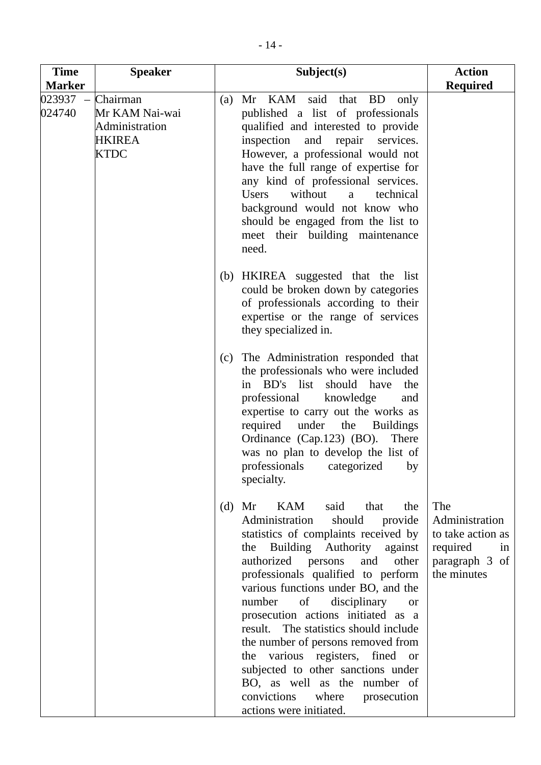| <b>Time</b>                           | <b>Speaker</b>                                                               | Subject(s)                                                                                                                                                                                                                                                                                                                                                                                                                                                                                                                                                                                                                | <b>Action</b><br><b>Required</b>                                                              |
|---------------------------------------|------------------------------------------------------------------------------|---------------------------------------------------------------------------------------------------------------------------------------------------------------------------------------------------------------------------------------------------------------------------------------------------------------------------------------------------------------------------------------------------------------------------------------------------------------------------------------------------------------------------------------------------------------------------------------------------------------------------|-----------------------------------------------------------------------------------------------|
| <b>Marker</b><br>$023937 -$<br>024740 | Chairman<br>Mr KAM Nai-wai<br>Administration<br><b>HKIREA</b><br><b>KTDC</b> | Mr KAM said<br>that BD<br>only<br>(a)<br>published a list of professionals<br>qualified and interested to provide<br>inspection and repair services.<br>However, a professional would not<br>have the full range of expertise for<br>any kind of professional services.<br>without<br><b>Users</b><br>technical<br>a<br>background would not know who<br>should be engaged from the list to<br>meet their building maintenance<br>need.                                                                                                                                                                                   |                                                                                               |
|                                       |                                                                              | (b) HKIREA suggested that the list<br>could be broken down by categories<br>of professionals according to their<br>expertise or the range of services<br>they specialized in.                                                                                                                                                                                                                                                                                                                                                                                                                                             |                                                                                               |
|                                       |                                                                              | The Administration responded that<br>(c)<br>the professionals who were included<br>BD's list<br>should have<br>the<br>in<br>professional<br>knowledge<br>and<br>expertise to carry out the works as<br>under the Buildings<br>required<br>Ordinance (Cap.123) (BO).<br>There<br>was no plan to develop the list of<br>professionals categorized<br>by<br>specialty.                                                                                                                                                                                                                                                       |                                                                                               |
|                                       |                                                                              | Mr<br>KAM<br>said<br>(d)<br>that<br>the<br>Administration<br>should<br>provide<br>statistics of complaints received by<br>Building Authority against<br>the<br>authorized persons and<br>other<br>professionals qualified to perform<br>various functions under BO, and the<br>of<br>number<br>disciplinary<br><sub>or</sub><br>prosecution actions initiated as a<br>result. The statistics should include<br>the number of persons removed from<br>the various registers, fined or<br>subjected to other sanctions under<br>BO, as well as the number of<br>convictions where<br>prosecution<br>actions were initiated. | The<br>Administration<br>to take action as<br>required<br>in<br>paragraph 3 of<br>the minutes |